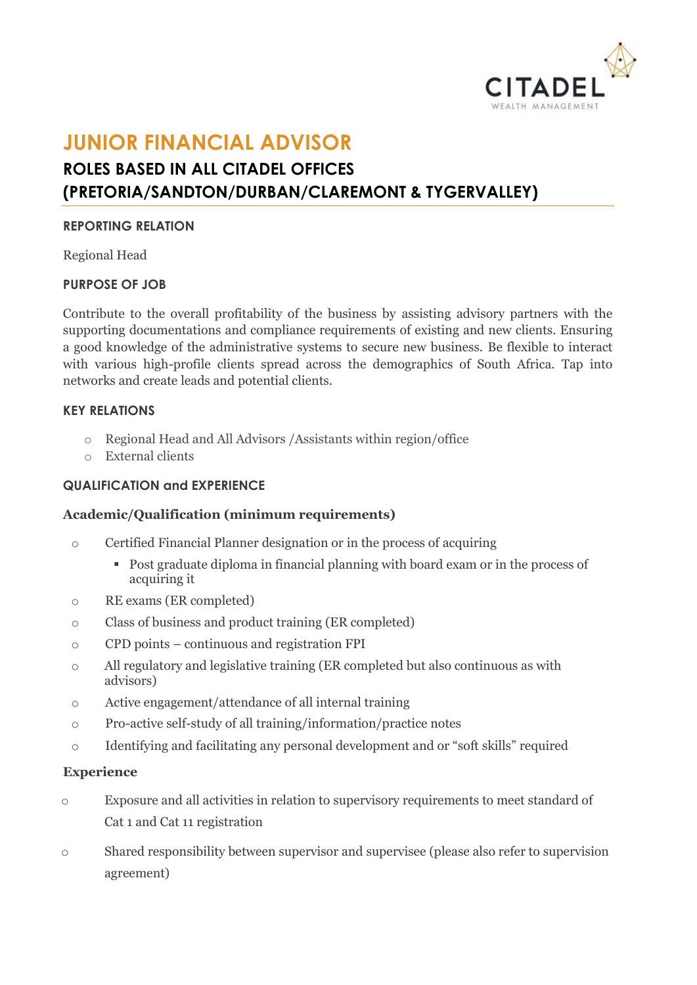

# **JUNIOR FINANCIAL ADVISOR ROLES BASED IN ALL CITADEL OFFICES (PRETORIA/SANDTON/DURBAN/CLAREMONT & TYGERVALLEY)**

## **REPORTING RELATION**

Regional Head

# **PURPOSE OF JOB**

Contribute to the overall profitability of the business by assisting advisory partners with the supporting documentations and compliance requirements of existing and new clients. Ensuring a good knowledge of the administrative systems to secure new business. Be flexible to interact with various high-profile clients spread across the demographics of South Africa. Tap into networks and create leads and potential clients.

## **KEY RELATIONS**

- o Regional Head and All Advisors /Assistants within region/office
- o External clients

## **QUALIFICATION and EXPERIENCE**

#### **Academic/Qualification (minimum requirements)**

- o Certified Financial Planner designation or in the process of acquiring
	- Post graduate diploma in financial planning with board exam or in the process of acquiring it
- o RE exams (ER completed)
- o Class of business and product training (ER completed)
- o CPD points continuous and registration FPI
- o All regulatory and legislative training (ER completed but also continuous as with advisors)
- o Active engagement/attendance of all internal training
- o Pro-active self-study of all training/information/practice notes
- o Identifying and facilitating any personal development and or "soft skills" required

#### **Experience**

- o Exposure and all activities in relation to supervisory requirements to meet standard of Cat 1 and Cat 11 registration
- o Shared responsibility between supervisor and supervisee (please also refer to supervision agreement)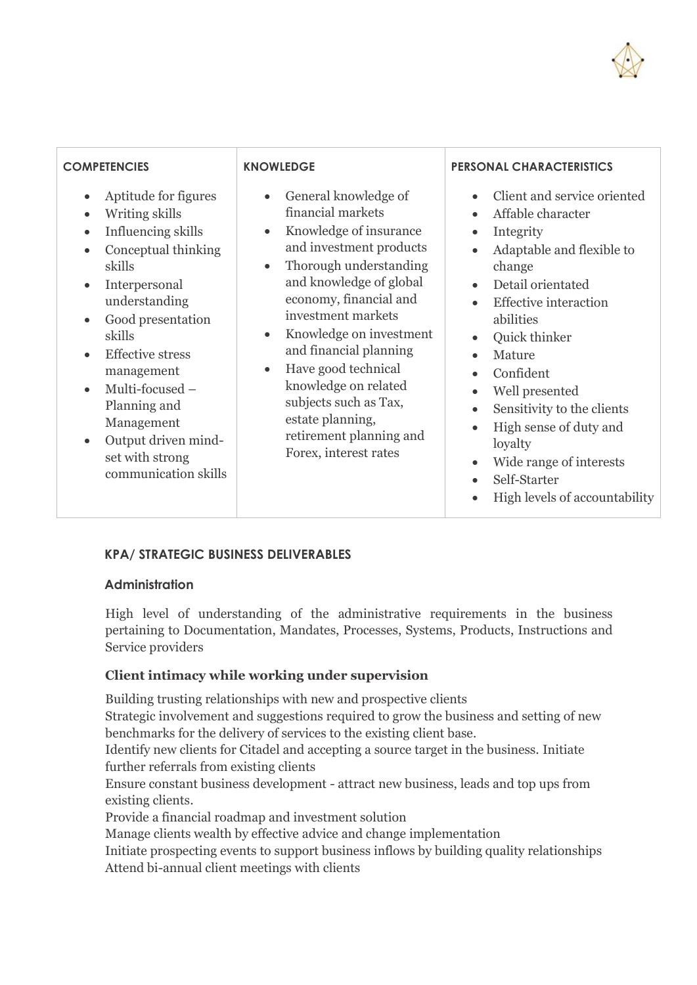

| <b>COMPETENCIES</b><br>Aptitude for figures<br>$\bullet$<br>Writing skills<br>$\bullet$<br>Influencing skills<br>$\bullet$<br>Conceptual thinking<br>$\bullet$<br>skills<br>Interpersonal<br>$\bullet$<br>understanding<br>Good presentation<br>$\bullet$<br>skills<br><b>Effective stress</b><br>$\bullet$<br>management<br>Multi-focused -<br>$\bullet$<br>Planning and<br>Management<br>Output driven mind-<br>$\bullet$<br>set with strong | <b>KNOWLEDGE</b><br>General knowledge of<br>financial markets<br>Knowledge of insurance<br>$\bullet$<br>and investment products<br>Thorough understanding<br>$\bullet$<br>and knowledge of global<br>economy, financial and<br>investment markets<br>Knowledge on investment<br>$\bullet$<br>and financial planning<br>Have good technical<br>$\bullet$<br>knowledge on related<br>subjects such as Tax,<br>estate planning,<br>retirement planning and<br>Forex, interest rates | <b>PERSONAL CHARACTERISTICS</b><br>Client and service oriented<br>Affable character<br>$\bullet$<br>Integrity<br>Adaptable and flexible to<br>change<br>Detail orientated<br>$\bullet$<br><b>Effective</b> interaction<br>abilities<br>Quick thinker<br>Mature<br>Confident<br>Well presented<br>Sensitivity to the clients<br>$\bullet$<br>High sense of duty and<br>$\bullet$<br>loyalty<br>Wide range of interests<br>$\bullet$ |
|------------------------------------------------------------------------------------------------------------------------------------------------------------------------------------------------------------------------------------------------------------------------------------------------------------------------------------------------------------------------------------------------------------------------------------------------|----------------------------------------------------------------------------------------------------------------------------------------------------------------------------------------------------------------------------------------------------------------------------------------------------------------------------------------------------------------------------------------------------------------------------------------------------------------------------------|------------------------------------------------------------------------------------------------------------------------------------------------------------------------------------------------------------------------------------------------------------------------------------------------------------------------------------------------------------------------------------------------------------------------------------|
| communication skills                                                                                                                                                                                                                                                                                                                                                                                                                           | Self-Starter<br>High levels of accountability                                                                                                                                                                                                                                                                                                                                                                                                                                    |                                                                                                                                                                                                                                                                                                                                                                                                                                    |

## **KPA/ STRATEGIC BUSINESS DELIVERABLES**

## **Administration**

High level of understanding of the administrative requirements in the business pertaining to Documentation, Mandates, Processes, Systems, Products, Instructions and Service providers

## **Client intimacy while working under supervision**

Building trusting relationships with new and prospective clients

Strategic involvement and suggestions required to grow the business and setting of new benchmarks for the delivery of services to the existing client base.

Identify new clients for Citadel and accepting a source target in the business. Initiate further referrals from existing clients

Ensure constant business development - attract new business, leads and top ups from existing clients.

Provide a financial roadmap and investment solution

Manage clients wealth by effective advice and change implementation

Initiate prospecting events to support business inflows by building quality relationships Attend bi-annual client meetings with clients